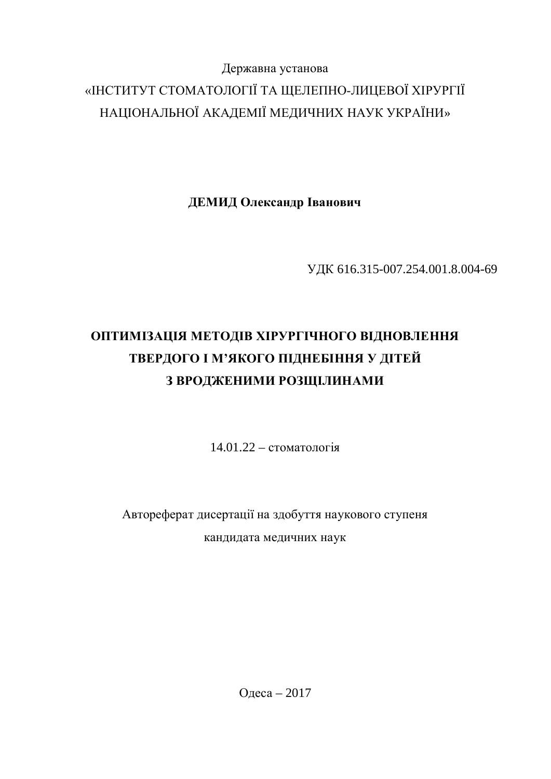## Державна установа «ІНСТИТУТ СТОМАТОЛОГІЇ ТА ЩЕЛЕПНО-ЛИЦЕВОЇ ХІРУРГІЇ НАЦІОНАЛЬНОЇ АКАДЕМІЇ МЕДИЧНИХ НАУК УКРАЇНИ»

ДЕМИД Олександр Іванович

ɍȾɄ 616.315-007.254.001.8.004-69

# **ОПТИМІЗАЦІЯ МЕТОДІВ ХІРУРГІЧНОГО ВІДНОВЛЕННЯ** ТВЕРДОГО І М'ЯКОГО ПІДНЕБІННЯ У ДІТЕЙ З ВРОДЖЕНИМИ РОЗЩІЛИНАМИ

 $14.01.22 -$  стоматологія

Автореферат дисертації на здобуття наукового ступеня кандидата медичних наук

Олеса – 2017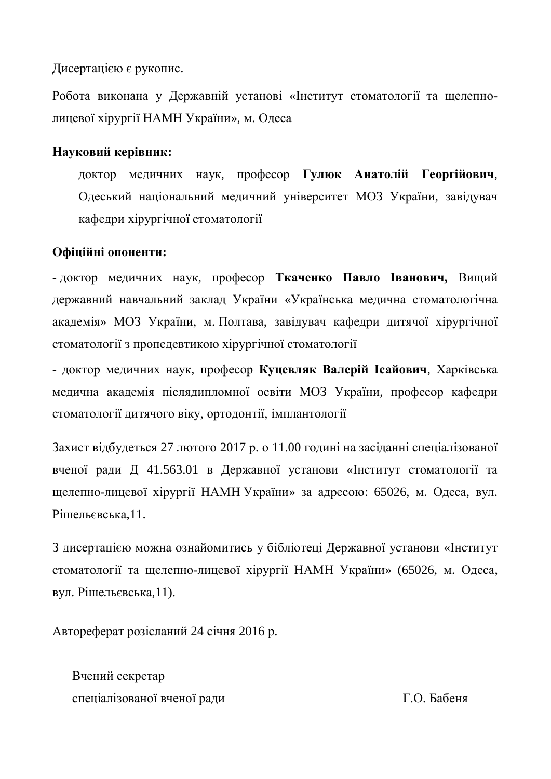Дисертацією є рукопис.

Робота виконана у Державній установі «Інститут стоматології та щелепнолицевої хірургії НАМН України», м. Одеса

#### **Науковий керівник:**

доктор медичних наук, професор Гулюк Анатолій Георгійович, Одеський національний медичний університет МОЗ України, завідувач кафедри хірургічної стоматології

#### Офіційні опоненти:

- доктор медичних наук, професор Ткаченко Павло Іванович, Вищий державний навчальний заклад України «Українська медична стоматологічна академія» МОЗ України, м. Полтава, завідувач кафедри дитячої хірургічної стоматології з пропедевтикою хірургічної стоматології

- доктор медичних наук, професор Куцевляк Валерій Ісайович, Харківська медична академія післядипломної освіти МОЗ України, професор кафедри стоматології дитячого віку, ортодонтії, імплантології

Захист відбудеться 27 лютого 2017 р. о 11.00 годині на засіданні спеціалізованої вченої ради Д 41.563.01 в Державної установи «Інститут стоматології та щелепно-лицевої хірургії НАМН України» за адресою: 65026, м. Одеса, вул. Рішельєвська.11.

З дисертацією можна ознайомитись у бібліотеці Державної установи «Інститут стоматології та щелепно-лицевої хірургії НАМН України» (65026, м. Одеса, вул. Рішельєвська,11).

Автореферат розісланий 24 січня 2016 р.

Вчений секретар спеціалізованої вченої ради П.О. Бабеня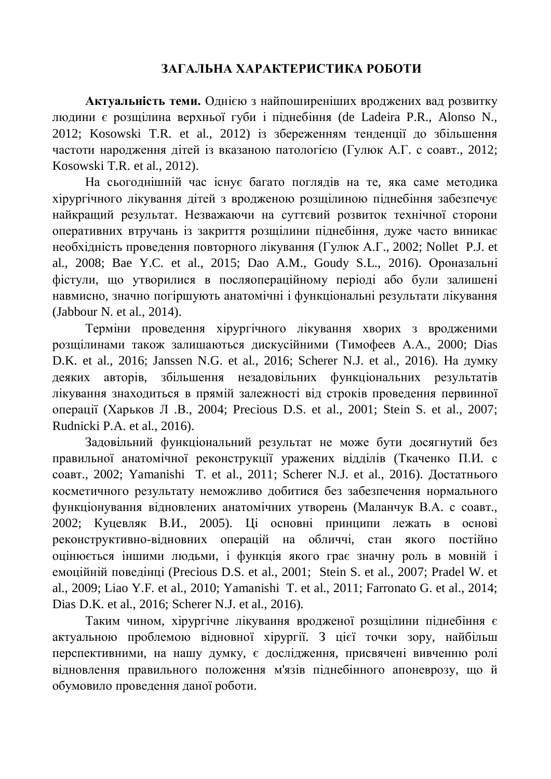#### ЗАГАЛЬНА ХАРАКТЕРИСТИКА РОБОТИ

**Актуальність теми.** Однією з найпоширеніших вроджених вад розвитку людини є розщілина верхньої губи і піднебіння (de Ladeira P.R., Alonso N., 2012; Kosowski T.R. et al., 2012) із збереженням тенденції до збільшення частоти народження дітей із вказаною патологією (Гулюк А.Г. с соавт., 2012; Kosowski T.R. et al., 2012).

На сьогоднішній час існує багато поглядів на те, яка саме методика хірургічного лікування дітей з вродженою розщілиною піднебіння забезпечує найкращий результат. Незважаючи на суттєвий розвиток технічної сторони оперативних втручань із закриття розщілини піднебіння, дуже часто виникає необхідність проведення повторного лікування (Гулюк А.Г., 2002; Nollet P.J. et al., 2008; Bae Y.C. et al., 2015; Dao A.M., Goudy S.L., 2016). Ороназальні фістули, що утворилися в посляопераційному періоді або були залишені навмисно, значно погіршують анатомічні і функціональні результати лікування (Jabbour N. et al., 2014).

Терміни проведення хірургічного лікування хворих з вродженими розщілинами також залишаються дискусійними (Тимофеев А.А., 2000; Dias D.K. et al., 2016; Janssen N.G. et al., 2016; Scherer N.J. et al., 2016). На думку деяких авторів, збільшення незадовільних функціональних результатів лікування знаходиться в прямій залежності від строків проведення первинної операції (Харьков Л.В., 2004; Precious D.S. et al., 2001; Stein S. et al., 2007; Rudnicki P.A. et al., 2016).

Задовільний функціональний результат не може бути досягнутий без правильної анатомічної реконструкції уражених відділів (Ткаченко П.И. с соавт., 2002; Yamanishi T. et al., 2011; Scherer N.J. et al., 2016). Достатнього косметичного результату неможливо добитися без забезпечення нормального функціонування відновлених анатомічних утворень (Маланчук В.А. с соавт., 2002; Куцевляк В.И., 2005). Ці основні принципи лежать в основі реконструктивно-відновних операцій на обличчі, стан якого постійно оцінюється іншими людьми, і функція якого грає значну роль в мовній і eмоційній поведінці (Precious D.S. et al., 2001; Stein S. et al., 2007; Pradel W. et al., 2009; Liao Y.F. et al., 2010; Yamanishi T. et al., 2011; Farronato G. et al., 2014; Dias D.K. et al., 2016; Scherer N.J. et al., 2016).

Таким чином, хірургічне лікування вродженої розщілини піднебіння є актуальною проблемою відновної хірургії. З цієї точки зору, найбільш перспективними, на нашу думку, є дослідження, присвячені вивченню ролі відновлення правильного положення м'язів піднебінного апоневрозу, що й обумовило проведення даної роботи.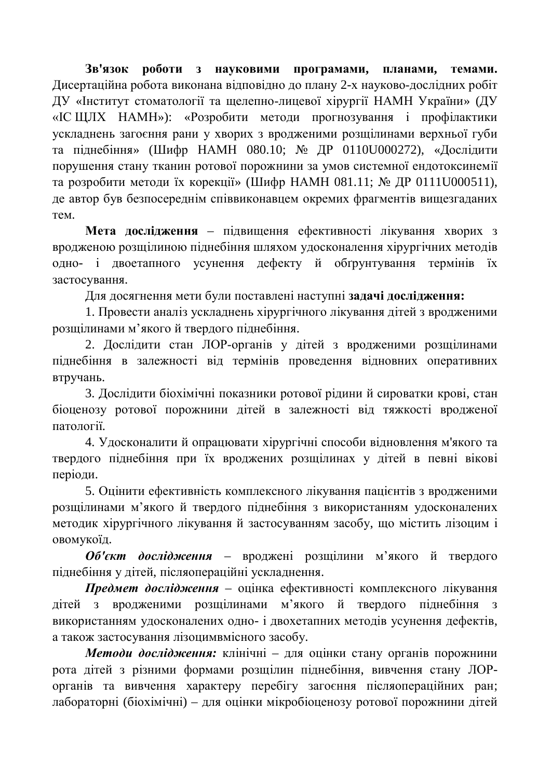3в'язок  $\overline{DO6}$ **OТИ** 3 НАУКОВИМИ ПРОГРАМАМИ, ПЛАНАМИ, ТЕМАМИ, Дисертаційна робота виконана відповідно до плану 2-х науково-дослідних робіт ДУ «Інститут стоматології та щелепно-лицевої хірургії НАМН України» (ДУ «ІСЩЛХ НАМН»): «Розробити методи прогнозування і профілактики ускладнень загоєння рани у хворих з вродженими розщілинами верхньої губи та піднебіння» (Шифр НАМН 080.10; № ДР 0110U000272), «Дослідити порушення стану тканин ротової порожнини за умов системної ендотоксинемії та розробити методи їх корекції» (Шифр НАМН 081.11; № ДР 0111U000511), де автор був безпосереднім співвиконавцем окремих фрагментів вищезгаданих Tem.

Мета дослідження – підвищення ефективності лікування хворих з вродженою розщілиною піднебіння шляхом удосконалення хірургічних методів одно- і двоетапного усунення дефекту й обґрунтування термінів їх застосування.

Для досягнення мети були поставлені наступні задачі дослідження:

1. Провести аналіз ускладнень хірургічного лікування дітей з вродженими розщілинами м'якого й твердого піднебіння.

2. Дослідити стан ЛОР-органів у дітей з вродженими розщілинами піднебіння в залежності від термінів проведення відновних оперативних втручань.

3. Дослідити біохімічні показники ротової рідини й сироватки крові, стан біоценозу ротової порожнини дітей в залежності від тяжкості вродженої патології.

4. Удосконалити й опрацювати хірургічні способи відновлення м'якого та твердого піднебіння при їх вроджених розщілинах у дітей в певні вікові періоди.

5. Оцінити ефективність комплексного лікування пацієнтів з вродженими розщілинами м'якого й твердого піднебіння з використанням удосконалених методик хірургічного лікування й застосуванням засобу, що містить лізоцим і овомукоїд.

Об'єкт дослідження - вроджені розщілини м'якого й твердого піднебіння у дітей, післяопераційні ускладнення.

Предмет дослідження – оцінка ефективності комплексного лікування дітей з вродженими розщілинами м'якого й твердого піднебіння з використанням удосконалених одно- і двохетапних методів усунення дефектів, а також застосування лізоцимвмісного засобу.

Методи дослідження: клінічні – для оцінки стану органів порожнини рота дітей з різними формами розщілин піднебіння, вивчення стану ЛОРорганів та вивчення характеру перебігу загоєння післяопераційних ран; лабораторні (біохімічні) – для оцінки мікробіоценозу ротової порожнини дітей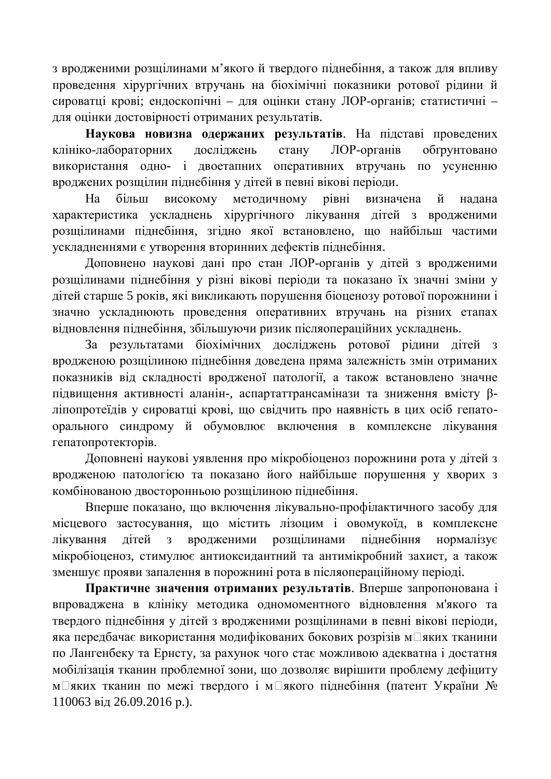з вродженими розщілинами м'якого й твердого піднебіння, а також для впливу проведення хірургічних втручань на біохімічні показники ротової рідини й сироватці крові; ендоскопічні – для оцінки стану ЛОР-органів; статистичні – для оцінки достовірності отриманих результатів.

Наукова новизна одержаних результатів. На підставі проведених клініко-лабораторних досліджень стану ЛОР-органів обґрунтовано використання одно- і двоетапних оперативних втручань по усуненню вроджених розщілин піднебіння у дітей в певні вікові періоди.

На більш високому методичному рівні визначена й надана характеристика ускладнень хірургічного лікування дітей з вродженими розщілинами піднебіння, згідно якої встановлено, що найбільш частими ускладненнями є утворення вторинних дефектів піднебіння.

Доповнено наукові дані про стан ЛОР-органів у дітей з вродженими розщілинами піднебіння у різні вікові періоди та показано їх значні зміни у дітей старше 5 років, які викликають порушення біоценозу ротової порожнини і значно ускладнюють проведення оперативних втручань на різних етапах відновлення піднебіння, збільшуючи ризик післяопераційних ускладнень.

За результатами біохімічних досліджень ротової рідини дітей з вродженою розщілиною піднебіння доведена пряма залежність змін отриманих показників від складності вродженої патології, а також встановлено значне підвищення активності аланін-, аспартаттрансамінази та зниження вмісту βліпопротеїдів у сироватці крові, що свідчить про наявність в цих осіб гепатоорального синдрому й обумовлює включення в комплексне лікування гепатопротекторів.

Доповнені наукові уявлення про мікробіоценоз порожнини рота у дітей з вродженою патологією та показано його найбільше порушення у хворих з комбінованою двосторонньою розщілиною піднебіння.

Вперше показано, що включення лікувально-профілактичного засобу для місцевого застосування, що містить лізоцим і овомукоїд, в комплексне лікування дітей з вродженими розщілинами піднебіння нормалізує мікробіоценоз, стимулює антиоксидантний та антимікробний захист, а також зменшує прояви запалення в порожнині рота в післяопераційному періоді.

Практичне значення отриманих результатів. Вперше запропонована і впроваджена в клініку методика одномоментного відновлення м'якого та твердого піднебіння у дітей з вродженими розщілинами в певні вікові періоди, яка передбачає використання модифікованих бокових розрізів м $\square$ яких тканини по Лангенбеку та Ернсту, за рахунок чого стає можливою адекватна і достатня мобілізація тканин проблемної зони, що дозволяє вирішити проблему дефіциту м□яких тканин по межі твердого і м□якого піднебіння (патент України № 110063 від 26.09.2016 р.).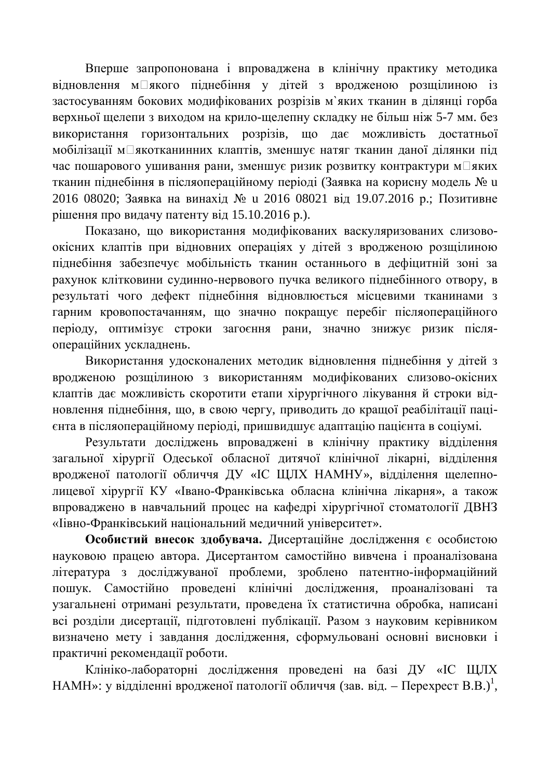Вперше запропонована і впроваджена в клінічну практику методика відновлення м□якого піднебіння у дітей з вродженою розщілиною із застосуванням бокових модифікованих розрізів м'яких тканин в ділянці горба верхньої щелепи з виходом на крило-щелепну складку не більш ніж 5-7 мм. без використання горизонтальних розрізів, що дає можливість достатньої мобілізації м $\square$ якотканинних клаптів, зменшує натяг тканин даної ділянки під час пошарового ушивання рани, зменшує ризик розвитку контрактури м□яких тканин піднебіння в післяопераційному періоді (Заявка на корисну модель № и 2016 08020; Заявка на винахід № и 2016 08021 від 19.07.2016 р.; Позитивне рішення про видачу патенту від  $15.10.2016$  р.).

Показано, що використання модифікованих васкуляризованих слизовоокісних клаптів при відновних операціях у дітей з вродженою розщілиною піднебіння забезпечує мобільність тканин останнього в дефіцитній зоні за рахунок клітковини судинно-нервового пучка великого піднебінного отвору, в результаті чого дефект піднебіння відновлюється місцевими тканинами з гарним кровопостачанням, що значно покращує перебіг післяопераційного періоду, оптимізує строки загоєння рани, значно знижує ризик післяопераційних ускладнень.

Використання удосконалених методик відновлення піднебіння у дітей з вродженою розщілиною з використанням модифікованих слизово-окісних клаптів дає можливість скоротити етапи хірургічного лікування й строки відновлення піднебіння, що, в свою чергу, приводить до кращої реабілітації пацієнта в післяопераційному періоді, пришвидшує адаптацію пацієнта в соціумі.

Результати досліджень впроваджені в клінічну практику відділення загальної хірургії Одеської обласної дитячої клінічної лікарні, відділення вродженої патології обличчя ДУ «ІС ЩЛХ НАМНУ», відділення щелепнолицевої хірургії КУ «Івано-Франківська обласна клінічна лікарня», а також впроваджено в навчальний процес на кафедрі хірургічної стоматології ДВНЗ «Іівно-Франківський національний меличний університет».

Особистий внесок здобувача. Дисертаційне дослідження є особистою науковою працею автора. Дисертантом самостійно вивчена і проаналізована література з досліджуваної проблеми, зроблено патентно-інформаційний пошук. Самостійно проведені клінічні дослідження, проаналізовані та vзагальнені отримані результати, провелена їх статистична обробка, написані всі розділи дисертації, підготовлені публікації. Разом з науковим керівником визначено мету і завдання дослідження, сформульовані основні висновки і практичні рекомендації роботи.

Клініко-лабораторні дослідження проведені на базі ДУ «ІС ЩЛХ НАМН»: у відділенні вродженої патології обличчя (зав. від. – Перехрест В.В.)<sup>1</sup>,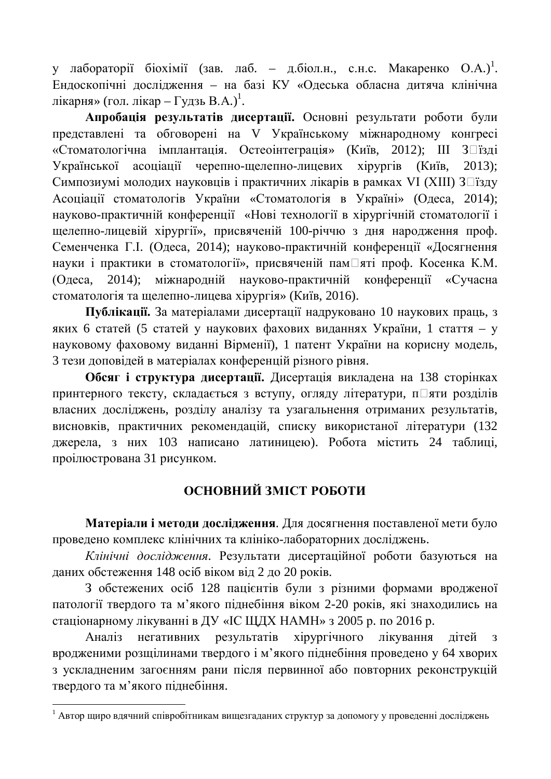у лабораторії біохімії (зав. лаб. – д.біол.н., с.н.с. Макаренко О.А.)<sup>1</sup>. Ендоскопічні дослідження – на базі КУ «Одеська обласна дитяча клінічна лікарня» (гол. лікар – Гудзь В.А.)<sup>1</sup>.

Апробація результатів дисертації. Основні результати роботи були представлені та обговорені на V Українському міжнародному конгресі «Стоматологічна імплантація. Остеоінтеграція» (Київ, 2012); III З□їзді Української асоціації черепно-щелепно-лицевих хірургів (Київ, 2013); Симпозиумі молодих науковців і практичних лікарів в рамках VI (XIII) З□їзду Асоціації стоматологів України «Стоматологія в Україні» (Одеса, 2014); науково-практичній конференції «Нові технології в хірургічній стоматології і щелепно-лицевій хірургії», присвяченій 100-річчю з дня народження проф. Семенченка Г.І. (Одеса, 2014); науково-практичній конференції «Досягнення науки і практики в стоматології», присвяченій пам□яті проф. Косенка К.М. (Одеса, 2014); міжнародній науково-практичній конференції «Сучасна стоматологія та щелепно-лицева хірургія» (Київ, 2016).

Публікації. За матеріалами дисертації надруковано 10 наукових праць, з яких 6 статей (5 статей у наукових фахових виданнях України, 1 стаття – у науковому фаховому виданні Вірменії), 1 патент України на корисну модель, 3 тези доповідей в матеріалах конференцій різного рівня.

Обсяг і структура дисертації. Дисертація викладена на 138 сторінках принтерного тексту, складається з вступу, огляду літератури, п $\Box$ яти розділів власних досліджень, розділу аналізу та узагальнення отриманих результатів, висновків, практичних рекомендацій, списку використаної літератури (132 джерела, з них 103 написано латиницею). Робота містить 24 таблиці, проілюстрована 31 рисунком.

## **ОСНОВНИЙ ЗМІСТ РОБОТИ**

Матеріали і методи дослідження. Для досягнення поставленої мети було проведено комплекс клінічних та клініко-лабораторних досліджень.

Клінічні дослідження. Результати дисертаційної роботи базуються на даних обстеження 148 осіб віком від 2 до 20 років.

3 обстежених осіб 128 пацієнтів були з різними формами вродженої патології твердого та м'якого піднебіння віком 2-20 років, які знаходились на стаціонарному лікуванні в ДУ «ІС ЩДХ НАМН» з 2005 р. по 2016 р.

Аналіз негативних результатів хірургічного лікування дітей з вродженими розщілинами твердого і м'якого піднебіння проведено у 64 хворих з ускладненим загоєнням рани після первинної або повторних реконструкцій твердого та м'якого піднебіння.

 $^1$  Автор щиро вдячний співробітникам вищезгаданих структур за допомогу у проведенні досліджень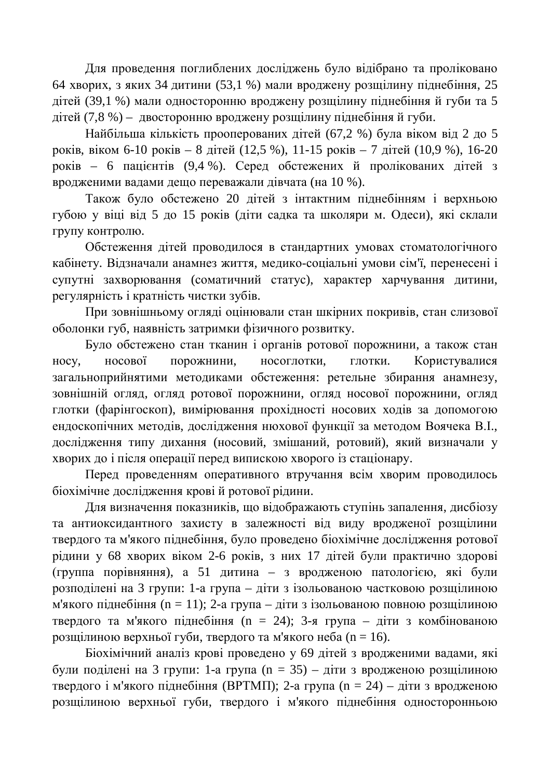Для проведення поглиблених досліджень було відібрано та проліковано 64 хворих, з яких 34 дитини (53,1 %) мали вроджену розщілину піднебіння, 25 дітей (39,1 %) мали односторонню вроджену розщілину піднебіння й губи та 5 дітей (7,8 %) – двосторонню вроджену розщілину піднебіння й губи.

Найбільша кількість прооперованих дітей (67,2 %) була віком від 2 до 5 pokib, bikom 6-10 pokib – 8  $\pi$ iteŭ (12,5 %), 11-15 pokib – 7  $\pi$ iteŭ (10,9 %), 16-20 років – 6 пацієнтів (9,4 %). Серед обстежених й пролікованих дітей з вродженими вадами дещо переважали дівчата (на 10 %).

Також було обстежено 20 дітей з інтактним піднебінням і верхньою губою у віці від 5 до 15 років (діти садка та школяри м. Одеси), які склали групу контролю.

Обстеження дітей проводилося в стандартних умовах стоматологічного кабінету. Відзначали анамнез життя, медико-соціальні умови сім'ї, перенесені і супутні захворювання (соматичний статус), характер харчування дитини, регулярність і кратність чистки зубів.

При зовнішньому огляді оцінювали стан шкірних покривів, стан слизової оболонки губ, наявність затримки фізичного розвитку.

Було обстежено стан тканин і органів ротової порожнини, а також стан носу, носової порожнини, носоглотки, глотки. Користувалися загальноприйнятими методиками обстеження: ретельне збирання анамнезу, зовнішній огляд, огляд ротової порожнини, огляд носової порожнини, огляд глотки (фарінгоскоп), вимірювання прохідності носових ходів за допомогою ендоскопічних методів, дослідження нюхової функції за методом Воячека В.І., дослідження типу дихання (носовий, змішаний, ротовий), який визначали у хворих до і після операції перед випискою хворого із стаціонару.

Перед проведенням оперативного втручання всім хворим проводилось біохімічне дослідження крові й ротової рідини.

Для визначення показників, що відображають ступінь запалення, дисбіозу та антиоксидантного захисту в залежності від виду вродженої розщілини твердого та м'якого піднебіння, було проведено біохімічне дослідження ротової рідини у 68 хворих віком 2-6 років, з них 17 дітей були практично здорові (группа порівняння), а 51 дитина – з вродженою патологією, які були розподілені на 3 групи: 1-а група – діти з ізольованою частковою розщілиною м'якого піднебіння (n = 11); 2-а група – діти з ізольованою повною розщілиною твердого та м'якого піднебіння (n = 24); 3-я група – діти з комбінованою розщілиною верхньої губи, твердого та м'якого неба (n = 16).

Біохімічний аналіз крові проведено у 69 дітей з вродженими вадами, які були поділені на 3 групи: 1-а група (n = 35) – діти з вродженою розщілиною твердого і м'якого піднебіння (ВРТМП); 2-а група (n = 24) – діти з вродженою розщілиною верхньої губи, твердого і м'якого піднебіння односторонньою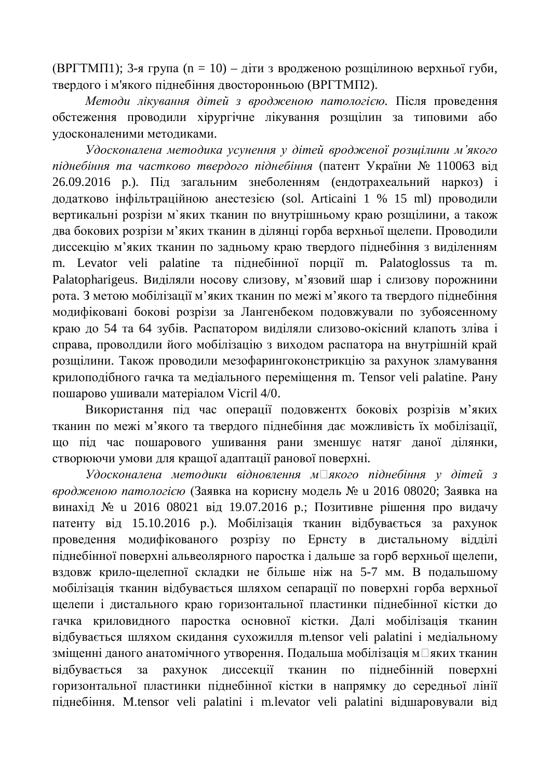(ВРГТМП1); 3-я група (n = 10) – діти з вродженою розщілиною верхньої губи, твердого і м'якого піднебіння двосторонньою (ВРГТМП2).

Методи лікування дітей з вродженою патологією. Після проведення обстеження проводили хірургічне лікування розщілин за типовими або удосконаленими методиками.

Удосконалена методика усунення у дітей вродженої розшілини м'якого *піднебіння та частково твердого піднебіння* (патент України № 110063 від 26.09.2016 р.). Під загальним знеболенням (ендотрахеальний наркоз) і додатково інфільтраційною анестезією (sol. Articaini 1 % 15 ml) проводили вертикальні розрізи м'яких тканин по внутрішньому краю розщілини, а також два бокових розрізи м'яких тканин в ділянці горба верхньої щелепи. Проводили диссекцію м'яких тканин по задньому краю твердого піднебіння з виділенням m. Levator veli palatine та піднебінної порції m. Palatoglossus та m. Palatopharigeus. Виділяли носову слизову, м'язовий шар і слизову порожнини рота. З метою мобілізації м'яких тканин по межі м'якого та твердого піднебіння модифіковані бокові розрізи за Лангенбеком подовжували по зубоясенному краю до 54 та 64 зубів. Распатором виділяли слизово-окісний клапоть зліва і справа, проволдили його мобілізацію з виходом распатора на внутрішній край розщілини. Також проводили мезофарингоконстрикцію за рахунок зламування крилоподібного гачка та медіального переміщення m. Tensor veli palatine. Рану пошарово ушивали матеріалом Vicril 4/0.

Використання під час операції подовжентх боковіх розрізів м'яких тканин по межі м'якого та твердого піднебіння дає можливість їх мобілізації, що під час пошарового ушивання рани зменшує натяг даної ділянки, створюючи умови для кращої адаптації ранової поверхні.

Удосконалена методики відновлення м□якого піднебіння у дітей з *вродженою патологією* (Заявка на корисну модель № и 2016 08020; Заявка на винахід № и 2016 08021 від 19.07.2016 р.; Позитивне рішення про видачу патенту від 15.10.2016 р.). Мобілізація тканин відбувається за рахунок проведення модифікованого розрізу по Ернсту в дистальному відділі піднебінної поверхні альвеолярного паростка і дальше за горб верхньої щелепи, вздовж крило-щелепної складки не більше ніж на 5-7 мм. В подальшому мобілізація тканин відбувається шляхом сепарації по поверхні горба верхньої шелепи і дистального краю горизонтальної пластинки піднебінної кістки до гачка криловидного паростка основної кістки. Далі мобілізація тканин відбувається шляхом скидання сухожилля m.tensor veli palatini і медіальному зміщенні даного анатомічного утворення. Подальша мобілізація м□яких тканин відбувається за рахунок диссекції тканин по піднебінній поверхні горизонтальної пластинки піднебінної кістки в напрямку до середньої лінії піднебіння. M.tensor veli palatini i m.levator veli palatini відшаровували від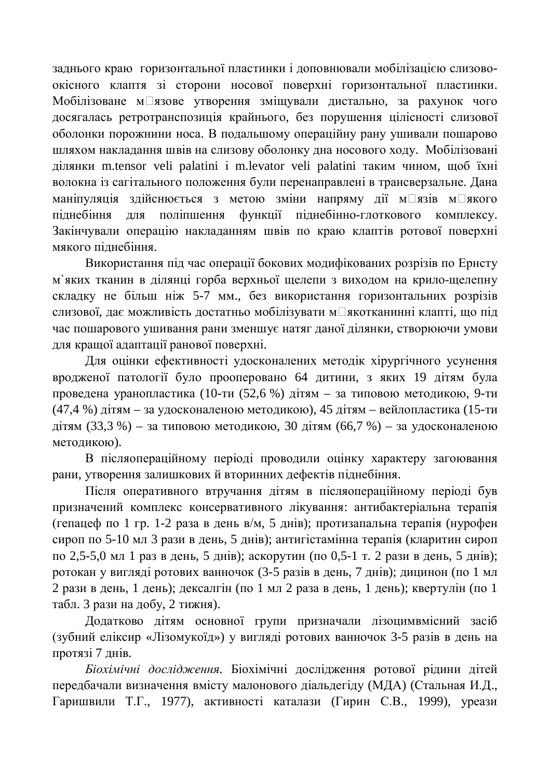заднього краю горизонтальної пластинки і доповнювали мобілізацією слизовоокісного клаптя зі сторони носової поверхні горизонтальної пластинки. Мобілізоване м□язове утворення зміщували дистально, за рахунок чого досягалась ретротранспозиція крайнього, без порушення цілісності слизової оболонки порожнини носа. В подальшому операційну рану ушивали пошарово шляхом накладання швів на слизову оболонку дна носового ходу. Мобілізовані ділянки m.tensor veli palatini i m.levator veli palatini таким чином, щоб їхні волокна із сагітального положення були перенаправлені в трансверзальне. Дана маніпуляція здійснюється з метою зміни напряму дії м $\square$ язів м $\square$ якого піднебіння для поліпшення функції піднебінно-глоткового комплексу. Закінчували операцію накладанням швів по краю клаптів ротової поверхні мякого пілнебіння.

Використання під час операції бокових модифікованих розрізів по Ернсту м'яких тканин в ділянці горба верхньої щелепи з виходом на крило-щелепну складку не більш ніж 5-7 мм., без використання горизонтальних розрізів слизової, дає можливість достатньо мобілізувати м□якотканинні клапті, що під час пошарового ушивання рани зменшує натяг даної ділянки, створюючи умови для кращої адаптації ранової поверхні.

Для оцінки ефективності удосконалених методік хірургічного усунення вродженої патології було прооперовано 64 дитини, з яких 19 дітям була проведена уранопластика (10-ти (52,6 %) дітям – за типовою методикою, 9-ти (47,4 %) дітям – за удосконаленою методикою), 45 дітям – вейлопластика (15-ти дітям  $(33,3 \%)$  – за типовою методикою, 30 дітям  $(66,7 \%)$  – за удосконаленою методикою).

В післяопераційному періоді проводили оцінку характеру загоювання рани, утворення залишкових й вторинних дефектів піднебіння.

Після оперативного втручання дітям в післяопераційному періоді був призначений комплекс консервативного лікування: антибактеріальна терапія  $(r$ епацеф по 1 гр. 1-2 раза в день в/м, 5 днів); протизапальна терапія (нурофен сироп по 5-10 мл 3 рази в день, 5 днів); антигістамінна терапія (кларитин сироп по 2,5-5,0 мл 1 раз в день, 5 днів); аскорутин (по 0,5-1 т. 2 рази в день, 5 днів); ротокан у вигляді ротових ванночок (3-5 разів в день, 7 днів); дицинон (по 1 мл 2 рази в день, 1 день); дексалгін (по 1 мл 2 раза в день, 1 день); квертулін (по 1 табл. 3 рази на добу. 2 тижня).

Додатково дітям основної групи призначали лізоцимвмісний засіб (зубний еліксир «Лізомукоїд») у вигляді ротових ванночок 3-5 разів в день на протязі 7 днів.

Біохімічні дослідження ротової рідини дітей передбачали визначення вмісту малонового діальдегіду (МДА) (Стальная И.Д., Гаришвили Т.Г., 1977), активності каталази (Гирин С.В., 1999), уреази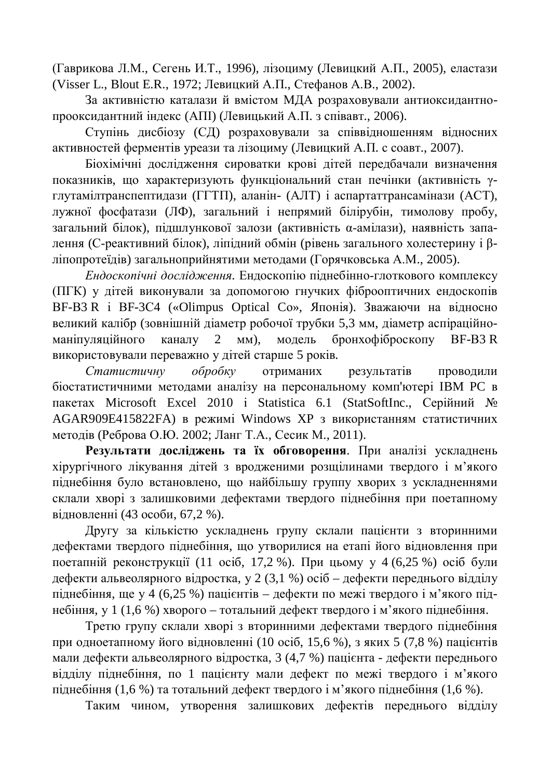(Гаврикова Л.М., Сегень И.Т., 1996), лізоциму (Левицкий А.П., 2005), еластази (Visser L., Blout E.R., 1972; Левицкий А.П., Стефанов А.В., 2002).

За активністю каталази й вмістом МДА розраховували антиоксидантнопрооксидантний індекс (АПІ) (Левицький А.П. з співавт., 2006).

Ступінь дисбіозу (СД) розраховували за співвідношенням відносних активностей ферментів уреази та лізоциму (Левицкий А.П. с соавт., 2007).

Біохімічні дослідження сироватки крові дітей передбачали визначення показників, що характеризують функціональний стан печінки (активність углутамілтранспептидази (ГГТП), аланін- (АЛТ) і аспартаттрансамінази (АСТ), лужної фосфатази (ЛФ), загальний і непрямий білірубін, тимолову пробу, загальний білок), підшлункової залози (активність α-амілази), наявність западення (С-реактивний білок), ліпідний обмін (рівень загального холестерину і βліпопротеїдів) загальноприйнятими методами (Горячковська А.М., 2005).

*Ендоскопічні дослідження*. Ендоскопію піднебінно-глоткового комплексу (ПГК) у дітей виконували за допомогою гнучких фіброоптичних ендоскопів BF-B3 R i BF-3C4 («Olimpus Optical Co», Японія). Зважаючи на відносно великий калібр (зовнішній діаметр робочої трубки 5,3 мм, діаметр аспіраційноманіпуляційного каналу 2 мм), модель бронхофіброскопу BF-B3R використовували переважно у дітей старше 5 років.

Статистичну обробку отриманих результатів проводили біостатистичними методами аналізу на персональному комп'ютері IBM PC в пакетах Microsoft Excel 2010 i Statistica 6.1 (StatSoftInc., Серійний № AGAR909E415822FA) в режимі Windows XP з використанням статистичних методів (Реброва О.Ю. 2002; Ланг Т.А., Сесик М., 2011).

Результати досліджень та їх обговорення. При аналізі ускладнень хірургічного лікування дітей з вродженими розщілинами твердого і м'якого піднебіння було встановлено, що найбільшу группу хворих з ускладненнями склали хворі з залишковими дефектами твердого піднебіння при поетапному відновленні (43 особи, 67,2 %).

Другу за кількістю ускладнень групу склали пацієнти з вторинними дефектами твердого піднебіння, що утворилися на етапі його відновлення при поетапній реконструкції (11 осіб. 17,2 %). При цьому у 4 (6,25 %) осіб були дефекти альвеолярного відростка, у 2 (3,1 %) осіб – дефекти переднього відділу піднебіння, ще у 4 (6,25 %) пацієнтів – дефекти по межі твердого і м'якого піднебіння, у 1 (1,6 %) хворого – тотальний дефект твердого і м'якого піднебіння.

Третю групу склали хворі з вторинними дефектами твердого піднебіння при одноетапному його відновленні (10 осіб, 15,6 %), з яких 5 (7,8 %) пацієнтів мали дефекти альвеолярного відростка, 3 (4,7 %) пацієнта - дефекти переднього відділу піднебіння, по 1 пацієнту мали дефект по межі твердого і м'якого піднебіння (1,6 %) та тотальний дефект твердого і м'якого піднебіння (1,6 %).

Таким чином, утворення залишкових дефектів переднього відділу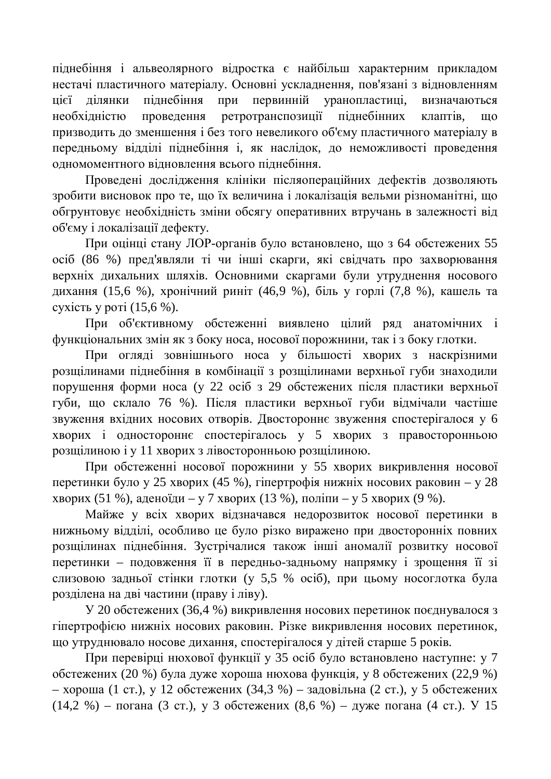піднебіння і альвеолярного відростка є найбільш характерним прикладом нестачі пластичного матеріалу. Основні ускладнення, пов'язані з відновленням цієї ділянки піднебіння при первинній уранопластиці, визначаються необхідністю проведення ретротранспозиції піднебінних клаптів, що призводить до зменшення і без того невеликого об'єму пластичного матеріалу в передньому відділі піднебіння і, як наслідок, до неможливості проведення одномоментного відновлення всього піднебіння.

Проведені дослідження клініки післяопераційних дефектів дозволяють зробити висновок про те, що їх величина і локалізація вельми різноманітні, що обгрунтовує необхідність зміни обсягу оперативних втручань в залежності від об'єму і локалізації дефекту.

При оцінці стану ЛОР-органів було встановлено, що з 64 обстежених 55 осіб (86 %) пред'являли ті чи інші скарги, які свідчать про захворювання верхніх дихальних шляхів. Основними скаргами були утруднення носового дихання (15,6 %), хронічний риніт (46,9 %), біль у горлі (7,8 %), кашель та сухість у роті  $(15,6 \%)$ .

При об'єктивному обстеженні виявлено цілий ряд анатомічних і функціональних змін як з боку носа, носової порожнини, так і з боку глотки.

При огляді зовнішнього носа у більшості хворих з наскрізними розщілинами піднебіння в комбінації з розщілинами верхньої губи знаходили порушення форми носа (у 22 осіб з 29 обстежених після пластики верхньої губи, що склало 76 %). Після пластики верхньої губи відмічали частіше звуження вхідних носових отворів. Двостороннє звуження спостерігалося у 6 хворих і одностороннє спостерігалось у 5 хворих з правосторонньою розщілиною і у 11 хворих з лівосторонньою розщілиною.

При обстеженні носової порожнини у 55 хворих викривлення носової перетинки було у 25 хворих (45 %), гіпертрофія нижніх носових раковин – у 28 хворих (51 %), аденоїди – у 7 хворих (13 %), поліпи – у 5 хворих (9 %).

Майже у всіх хворих відзначався недорозвиток носової перетинки в нижньому відділі, особливо це було різко виражено при двосторонніх повних розщілинах піднебіння. Зустрічалися також інші аномалії розвитку носової перетинки – подовження її в передньо-задньому напрямку і зрощення її зі слизовою задньої стінки глотки (у 5,5 % осіб), при цьому носоглотка була розділена на дві частини (праву і ліву).

У 20 обстежених (36,4 %) викривлення носових перетинок поєднувалося з гіпертрофією нижніх носових раковин. Різке викривлення носових перетинок, що утруднювало носове дихання, спостерігалося у дітей старше 5 років.

При перевірці нюхової функції у 35 осіб було встановлено наступне: у 7  $\overline{6}$ стежених (20 %) була дуже хороша нюхова функція, у 8 обстежених (22,9 %) – хороша (1 ст.), у 12 обстежених (34,3 %) – задовільна (2 ст.), у 5 обстежених  $(14,2 \%)$  – погана (3 ст.), у 3 обстежених  $(8,6 \%)$  – дуже погана (4 ст.). У 15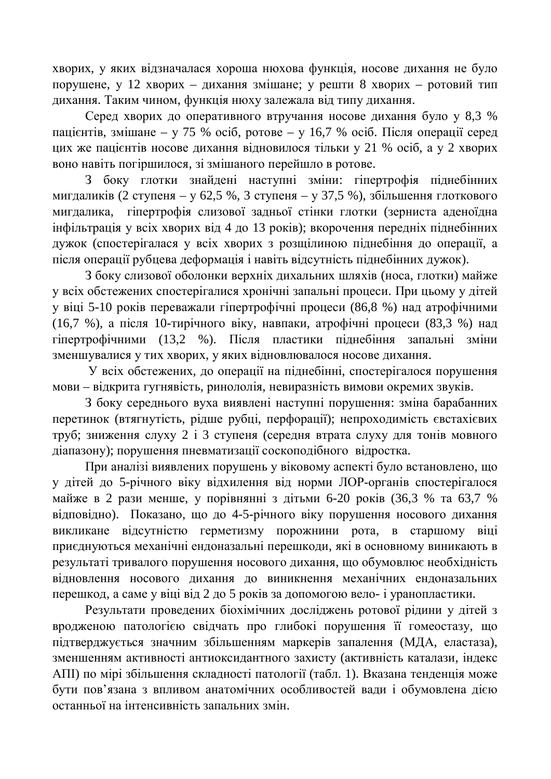хворих, у яких відзначалася хороша нюхова функція, носове дихання не було порушене, у 12 хворих – дихання змішане; у решти 8 хворих – ротовий тип дихання. Таким чином, функція нюху залежала від типу дихання.

Серед хворих до оперативного втручання носове дихання було у 8,3 % пацієнтів, змішане – у 75 %  $\alpha$ сіб, ротове – у 16,7 %  $\alpha$ сіб. Після операції серед цих же пацієнтів носове дихання відновилося тільки у 21 % осіб, а у 2 хворих воно навіть погіршилося, зі змішаного перейшло в ротове.

3 боку глотки знайдені наступні зміни: гіпертрофія піднебінних мигдаликів (2 ступеня – у 62,5 %, 3 ступеня – у 37,5 %), збільшення глоткового мигдалика, гіпертрофія слизової задньої стінки глотки (зерниста аденоїдна інфільтрація у всіх хворих від 4 до 13 років); вкорочення передніх піднебінних дужок (спостерігалася у всіх хворих з розщілиною піднебіння до операції, а після операції рубцева деформація і навіть відсутність піднебінних дужок).

3 боку слизової оболонки верхніх дихальних шляхів (носа, глотки) майже у всіх обстежених спостерігалися хронічні запальні процеси. При цьому у дітей у віці 5-10 років переважали гіпертрофічні процеси (86,8 %) над атрофічними (16,7 %), а після 10-тирічного віку, навпаки, атрофічні процеси (83,3 %) над гіпертрофічними (13,2 %). Після пластики піднебіння запальні зміни зменшувалися у тих хворих, у яких відновлювалося носове дихання.

У всіх обстежених, до операції на піднебінні, спостерігалося порушення мови – відкрита гугнявість, ринололія, невиразність вимови окремих звуків.

З боку середнього вуха виявлені наступні порушення: зміна барабанних перетинок (втягнутість, рідше рубці, перфорації); непроходимість євстахієвих труб; зниження слуху 2 і 3 ступеня (середня втрата слуху для тонів мовного діапазону); порушення пневматизації соскоподібного відростка.

При аналізі виявлених порушень у віковому аспекті було встановлено, що у дітей до 5-річного віку відхилення від норми ЛОР-органів спостерігалося майже в 2 рази менше, у порівнянні з дітьми 6-20 років (36,3 % та 63,7 % відповідно). Показано, що до 4-5-річного віку порушення носового дихання викликане відсутністю герметизму порожнини рота, в старшому віці приєднуються механічні ендоназальні перешкоди, які в основному виникають в результаті тривалого порушення носового дихання, що обумовлює необхідність відновлення носового дихання до виникнення механічних ендоназальних перешкод, а саме у віці від 2 до 5 років за допомогою вело- і уранопластики.

Результати проведених біохімічних досліджень ротової рідини у дітей з вродженою патологією свідчать про глибокі порушення її гомеостазу, що тідтверджується значним збільшенням маркерів запалення (МДА, еластаза), зменшенням активності антиоксидантного захисту (активність каталази, індекс АПІ) по мірі збільшення складності патології (табл. 1). Вказана тенденція може бути пов'язана з впливом анатомічних особливостей вади і обумовлена дією останньої на інтенсивність запальних змін.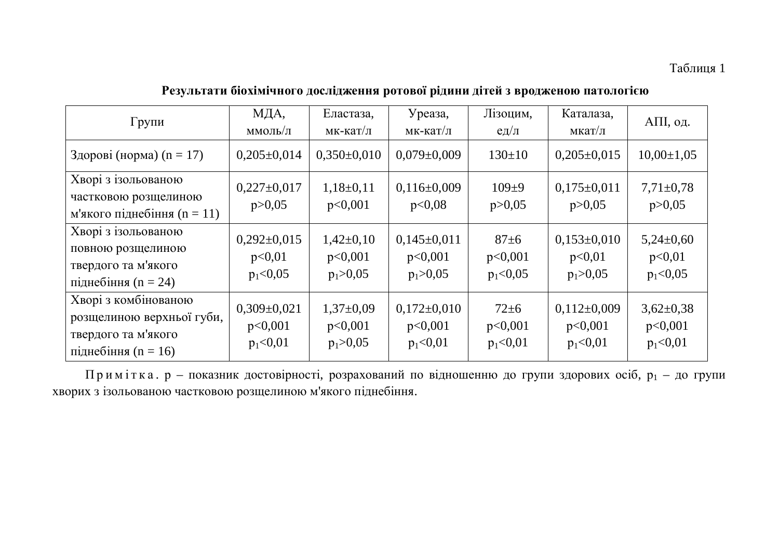#### Таблиця 1

## Результати біохімічного дослідження ротової рідини дітей з вродженою патологією

| Групи                                                                                              | МДА,<br>ммоль/л                          | Еластаза,<br>мк-кат/л                    | Уреаза,<br>мк-кат/л                        | Лізоцим,<br>$e$ д $/\pi$            | Каталаза,<br>мкат/л                       | АПІ, од.                               |
|----------------------------------------------------------------------------------------------------|------------------------------------------|------------------------------------------|--------------------------------------------|-------------------------------------|-------------------------------------------|----------------------------------------|
| Здорові (норма) $(n = 17)$                                                                         | $0,205\pm0,014$                          | $0,350\pm0,010$                          | $0.079 \pm 0.009$                          | $130 \pm 10$                        | $0,205\pm0,015$                           | $10,00 \pm 1,05$                       |
| Хворі з ізольованою<br>частковою розщелиною<br>м'якого піднебіння $(n = 11)$                       | $0,227\pm0,017$<br>p > 0,05              | $1,18\pm0,11$<br>p<0,001                 | $0,116\pm0,009$<br>p<0,08                  | $109+9$<br>p > 0,05                 | $0,175\pm0,011$<br>p > 0,05               | $7,71\pm0,78$<br>p > 0,05              |
| Хворі з ізольованою<br>повною розщелиною<br>твердого та м'якого<br>підне біння $(n = 24)$          | $0,292\pm0,015$<br>p<0,01<br>$p_1<0,05$  | $1,42\pm0,10$<br>p<0,001<br>$p_1 > 0.05$ | $0,145\pm0,011$<br>p<0,001<br>$p_1 > 0.05$ | $87 \pm 6$<br>p<0,001<br>$p_1<0,05$ | $0,153\pm0,010$<br>p<0,01<br>$p_1 > 0.05$ | $5,24\pm0,60$<br>p<0,01<br>$p_1<0,05$  |
| Хворі з комбінованою<br>розщелиною верхньої губи,<br>твердого та м'якого<br>підне біння $(n = 16)$ | $0,309\pm0,021$<br>p<0,001<br>$p_1<0,01$ | $1,37\pm0,09$<br>p<0,001<br>$p_1 > 0.05$ | $0,172\pm0,010$<br>p<0,001<br>$p_1<0,01$   | $72 \pm 6$<br>p<0,001<br>$p_1<0,01$ | $0,112\pm0,009$<br>p<0,001<br>$p_1<0,01$  | $3,62\pm0,38$<br>p<0,001<br>$p_1<0,01$ |

Примітка. р - показник достовірності, розрахований по відношенню до групи здорових осіб, р<sub>1</sub> - до групи хворих з ізольованою частковою розщелиною м'якого піднебіння.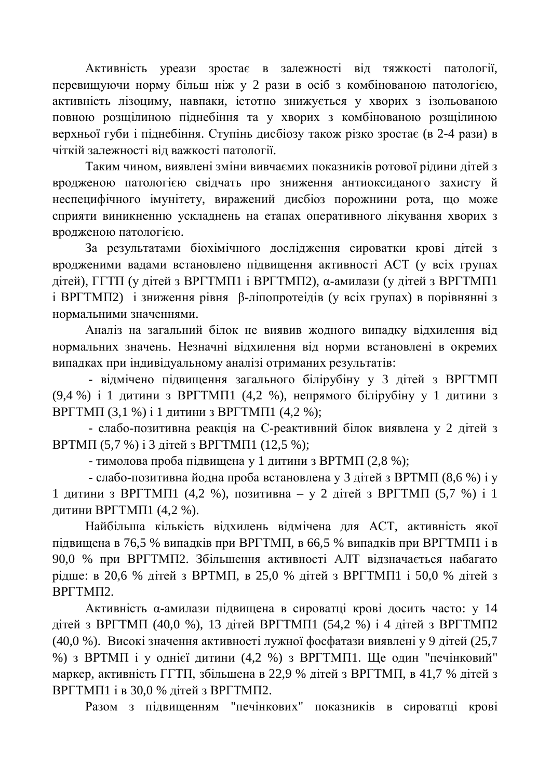Активність уреази зростає в залежності віл тяжкості патології. перевищуючи норму більш ніж у 2 рази в осіб з комбінованою патологією, активність лізоциму, навпаки, істотно знижується у хворих з ізольованою повною розщілиною піднебіння та у хворих з комбінованою розщілиною верхньої губи і піднебіння. Ступінь дисбіозу також різко зростає (в 2-4 рази) в чіткій залежності віл важкості патології.

Таким чином, виявлені зміни вивчаємих показників ротової рідини дітей з вродженою патологією свідчать про зниження антиоксиданого захисту й неспецифічного імунітету, виражений дисбіоз порожнини рота, що може сприяти виникненню ускладнень на етапах оперативного лікування хворих з вродженою патологією.

За результатами біохімічного дослідження сироватки крові дітей з вродженими вадами встановлено підвищення активності АСТ (у всіх групах дітей), ГГТП (у дітей з ВРГТМП1 і ВРГТМП2), α-амилази (у дітей з ВРГТМП1  $i$  ВРГТМП2) *і* зниження рівня β-ліпопротеідів (у всіх групах) в порівнянні з нормальними значеннями.

Аналіз на загальний білок не виявив жодного випадку відхилення від нормальних значень. Незначні відхилення від норми встановлені в окремих випадках при індивідуальному аналізі отриманих результатів:

- відмічено підвищення загального білірубіну у 3 дітей з ВРГТМП (9,4 %) і 1 дитини з ВРГТМП1 (4,2 %), непрямого білірубіну у 1 дитини з ВРГТМП (3,1 %) і 1 дитини з ВРГТМП1 (4,2 %);

- слабо-позитивна реакція на С-реактивний білок виявлена у 2 дітей з ВРТМП (5,7 %) і 3 дітей з ВРГТМП1 (12,5 %);

- тимолова проба підвищена у 1 дитини з ВРТМП (2,8 %);

- слабо-позитивна йодна проба встановлена у 3 дітейз ВРТМП (8,6 %) і у 1 дитини з ВРГТМП1 (4,2 %), позитивна – у 2 дітей з ВРГТМП (5,7 %) і 1 ДИТИНИ ВРГТМП1 (4,2 %).

Найбільша кількість відхилень відмічена для АСТ, активність якої підвищена в 76,5 % випадків при ВРГТМП, в 66,5 % випадків при ВРГТМП1 і в 90,0 % при ВРГТМП2. Збільшення активності АЛТ відзначається набагато рідше: в 20,6 % дітей з ВРТМП, в 25,0 % дітей з ВРГТМП1 і 50,0 % дітей з BPFTMII2.

Активність α-амилази підвищена в сироватці крові досить часто: у 14 дітей з ВРГТМП (40,0 %), 13 літей ВРГТМП1 (54,2 %) і 4 літей з ВРГТМП2 (40,0 %). Високі значення активності лужної фосфатази виявлені у 9 дітей (25,7 %) з ВРТМП і у однієї дитини (4,2 %) з ВРГТМП1. Ще один "печінковий" маркер, активність ГГТП, збільшена в 22,9 % дітей з ВРГТМП, в 41,7 % дітей з ВРГТМП1 і в 30,0 % дітей з ВРГТМП2.

Разом з підвищенням "печінкових" показників в сироватці крові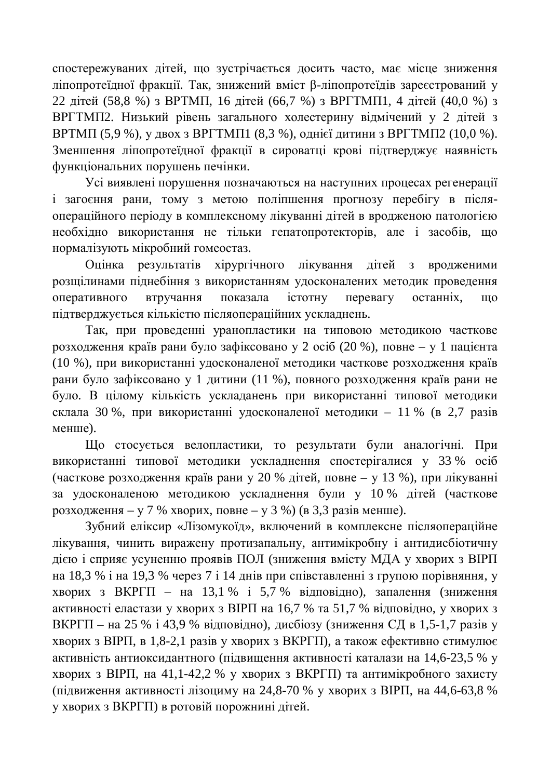спостережуваних літей, що зустрічається лосить часто, має місце зниження ліпопротеїдної фракції. Так, знижений вміст β-ліпопротеїдів зареєстрований у 22 літей (58,8 %) з ВРТМП, 16 літей (66,7 %) з ВРГТМП1, 4 літей (40,0 %) з ВРГТМП2. Низький рівень загального холестерину відмічений у 2 дітей з ВРТМП (5,9 %), у двох з ВРГТМП1 (8,3 %), однієї дитини з ВРГТМП2 (10,0 %). Зменшення ліпопротеїлної фракції в сироватці крові пілтверлжує наявність функціональних порушень печінки.

Усі виявлені порушення позначаються на наступних процесах регенерації і загоєння рани, тому з метою поліпшення прогнозу перебігу в післяопераційного періоду в комплексному лікуванні дітей в вродженою патологією необхідно використання не тільки гепатопротекторів, але і засобів, що нормалізують мікробний гомеостаз.

Оцінка результатів хірургічного лікування дітей з вродженими розщілинами піднебіння з використанням удосконалених методик проведення оперативного втручання показала істотну перевагу останніх, що підтверджується кількістю післяопераційних ускладнень.

Так, при проведенні уранопластики на типовою методикою часткове розходження країв рани було зафіксовано у 2 осіб (20 %), повне – у 1 пацієнта (10 %), при використанні удосконаленої методики часткове розходження країв рани було зафіксовано у 1 дитини (11 %), повного розходження країв рани не було. В цілому кількість ускладанень при використанні типової методики склала 30 %, при використанні удосконаленої методики – 11 % (в 2,7 разів менше).

Що стосується велопластики, то результати були аналогічні. При використанні типової методики ускладнення спостерігалися у 33 % осіб (часткове розходження країв рани у 20 % дітей, повне – у 13 %), при лікуванні за удосконаленою методикою ускладнення були у 10 % дітей (часткове розходження – у 7 % хворих, повне – у 3 %) (в 3,3 разів менше).

Зубний еліксир «Лізомукоїд», включений в комплексне післяопераційне лікування, чинить виражену протизапальну, антимікробну і антидисбіотичну дією і сприяє усуненню проявів ПОЛ (зниження вмісту МДА у хворих з ВІРП на 18,3 % і на 19,3 % через 7 і 14 днів при співставленні з групою порівняння, у хворих з ВКРГП – на 13,1 % і 5,7 % вілповілно), запалення (зниження активності еластази у хворих з ВІРП на 16,7 % та 51,7 % відповідно, у хворих з ВКРГП – на 25 % і 43,9 % відповідно), дисбіозу (зниження СД в 1,5-1,7 разів у хворих з ВІРП, в 1,8-2,1 разів у хворих з ВКРГП), а також ефективно стимулює активність антиоксидантного (підвищення активності каталази на 14,6-23,5 % у хворих з ВІРП, на 41,1-42,2 % у хворих з ВКРГП) та антимікробного захисту (підвиження активності лізоциму на 24,8-70 % у хворих з ВІРП, на 44,6-63,8 % у хворих з ВКРГП) в ротовій порожнині дітей.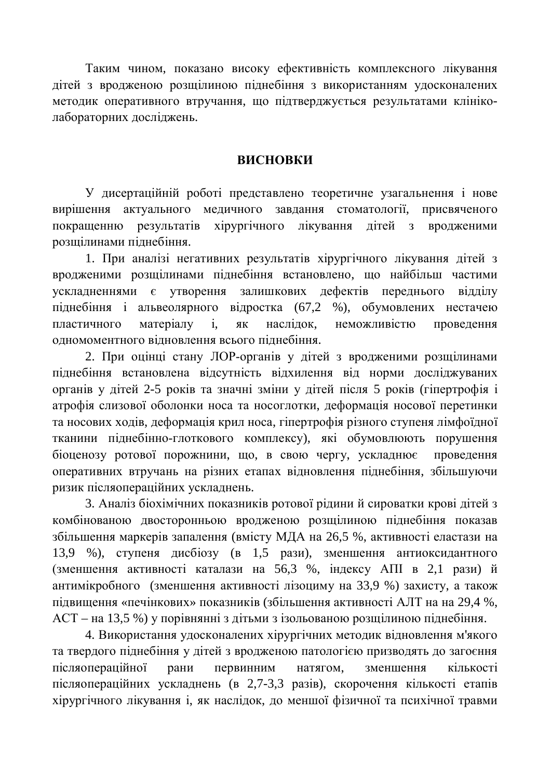Таким чином, показано високу ефективність комплексного лікування дітей з вродженою розщілиною піднебіння з використанням удосконалених методик оперативного втручання, що підтверджується результатами клініколабораторних досліджень.

#### **ВИСНОВКИ**

У дисертаційній роботі представлено теоретичне узагальнення і нове вирішення актуального медичного завдання стоматології, присвяченого покращенню результатів хірургічного лікування дітей з вродженими розщілинами піднебіння.

1. При аналізі негативних результатів хірургічного лікування дітей з вродженими розщілинами піднебіння встановлено, що найбільш частими ускладненнями є утворення залишкових дефектів переднього відділу піднебіння і альвеолярного відростка (67,2 %), обумовлених нестачею пластичного матеріалу і, як наслідок, неможливістю проведення одномоментного відновлення всього піднебіння.

2. При оцінці стану ЛОР-органів у дітей з вродженими розщілинами пілнебіння встановлена вілсутність вілхилення віл норми лослілжуваних органів у дітей 2-5 років та значні зміни у дітей після 5 років (гіпертрофія і атрофія слизової оболонки носа та носоглотки, деформація носової перетинки та носових ходів, деформація крил носа, гіпертрофія різного ступеня лімфоїдної тканини піднебінно-глоткового комплексу), які обумовлюють порушення біоценозу ротової порожнини, що, в свою чергу, ускладнює проведення оперативних втручань на різних етапах відновлення піднебіння, збільшуючи ризик післяопераційних ускладнень.

3. Аналіз біохімічних показників ротової рідини й сироватки крові дітей з комбінованою двосторонньою вродженою розщілиною піднебіння показав збільшення маркерів запалення (вмісту МДА на 26,5 %, активності еластази на 13,9 %), ступеня дисбіозу (в 1,5 рази), зменшення антиоксидантного (зменшення активності каталази на 56,3 %, індексу АПІ в 2,1 рази) й антимікробного (зменшення активності лізоциму на 33,9 %) захисту, а також підвищення «печінкових» показників (збільшення активності АЛТ на на 29,4 %, АСТ – на 13,5 %) у порівнянні з дітьми з ізольованою розщілиною піднебіння.

4. Використання удосконалених хірургічних методик відновлення м'якого та твердого піднебіння у дітей з вродженою патологією призводять до загоєння післяопераційної рани первинним натягом, зменшення кількості післяопераційних ускладнень (в 2,7-3,3 разів), скорочення кількості етапів хірургічного лікування і, як наслідок, до меншої фізичної та психічної травми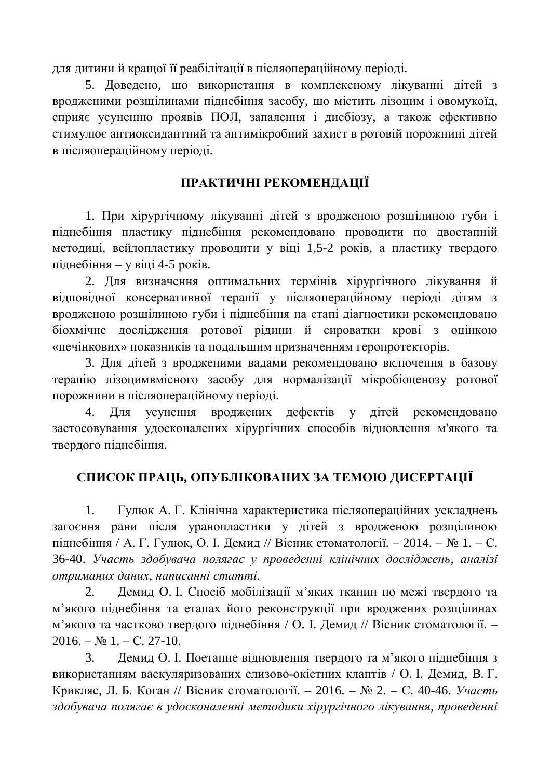для дитини й крашої її реабілітації в післяопераційному періоді.

5. Доведено, що використання в комплексному лікуванні дітей з вродженими розщілинами піднебіння засобу, що містить лізоцим і овомукоїд, сприяє усуненню проявів ПОЛ, запалення і дисбіозу, а також ефективно стимулює антиоксидантний та антимікробний захист в ротовій порожнині дітей в післяопераційному періоді.

## ПРАКТИЧНІ РЕКОМЕНДАЦІЇ

1. При хірургічному лікуванні дітей з вродженою розщілиною губи і піднебіння пластику піднебіння рекомендовано проводити по двоетапній методиці, вейлопластику проводити у віці 1,5-2 років, а пластику твердого піднебіння – у віці 4-5 років.

2. Для визначення оптимальних термінів хірургічного лікування й відповідної консервативної терапії у післяопераційному періоді дітям з вродженою розщілиною губи і піднебіння на етапі діагностики рекомендовано біохмічне дослідження ротової рідини й сироватки крові з оцінкою «печінкових» показників та подальшим призначенням геропротекторів.

3. Для дітей з вродженими вадами рекомендовано включення в базову терапію лізоцимвмісного засобу для нормалізації мікробіоценозу ротової порожнини в післяопераційному періоді.

4. Для усунення вроджених дефектів у дітей рекомендовано застосовування удосконалених хірургічних способів відновлення м'якого та твердого піднебіння.

## СПИСОК ПРАЦЬ, ОПУБЛІКОВАНИХ ЗА ТЕМОЮ ДИСЕРТАЦІЇ

1. Гулюк А. Г. Клінічна характеристика післяопераційних ускладнень загоєння рани після уранопластики у дітей з вродженою розщілиною піднебіння / А. Г. Гулюк, О. І. Демид // Вісник стоматології. – 2014. – № 1. – С. 36-40. Участь здобувача полягає у проведенні клінічних досліджень, аналізі  $ompu$ маних даних, написанні статті.

2. Лемил О. I. Спосіб мобілізації м'яких тканин по межі тверлого та м'якого піднебіння та етапах його реконструкції при вроджених розщілинах м'якого та частково твердого піднебіння / О. І. Демид // Вісник стоматології. –  $2016. - N_2 1. - C. 27-10.$ 

3. Демид О. I. Поетапне відновлення твердого та м'якого піднебіння з використанням васкуляризованих слизово-окістних клаптів / О. І. Лемил. В. Г. Крикляс, Л. Б. Коган // Вісник стоматології. – 2016. – № 2. – С. 40-46. *Участь* здобувача полягає в удосконаленні методики хірургічного лікування, проведенні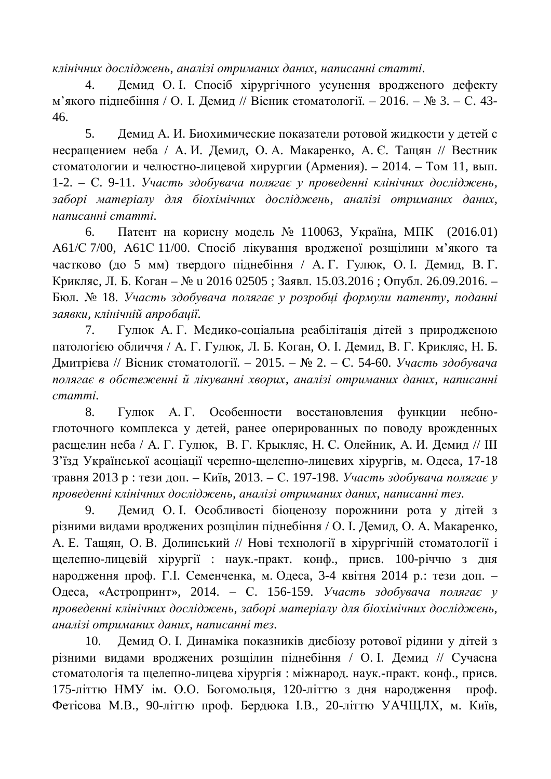клінічних досліджень, аналізі отриманих даних, написанні статті,

4. Демид О. І. Спосіб хірургічного усунення вродженого дефекту м'якого пілнебіння / О. І. Демил // Вісник стоматології. – 2016. – № 3. – С. 43-46.

5. Демид А. И. Биохимические показатели ротовой жидкости у детей с несращением неба / А.И. Демид, О.А. Макаренко, А.С. Тащян // Вестник стоматологии и челюстно-лицевой хирургии (Армения). – 2014. – Том 11, вып. 1-2. – С. 9-11. Участь здобувача полягає у проведенні клінічних досліджень, заборі матеріалу для біохімічних досліджень, аналізі отриманих даних,  $H$ аписанні статті.

6. Патент на корисну модель № 110063, Україна, МПК (2016.01) А61/С 7/00, А61С 11/00. Спосіб лікування вродженої розщілини м'якого та частково (до 5 мм) твердого піднебіння / А.Г. Гулюк, О. І. Демид, В.Г. Крикляс, Л. Б. Коган – № и 2016 02505 ; Заявл. 15.03.2016 ; Опубл. 26.09.2016. – Бюл. № 18. Участь здобувача полягає у розробці формули патенту, поданні заявки, клінічній апробашії.

7. Гулюк А. Г. Медико-соціальна реабілітація дітей з природженою патологією обличчя / А. Г. Гулюк, Л. Б. Коган, О. І. Демид, В. Г. Крикляс, Н. Б. Дмитрієва // Вісник стоматології. – 2015. – № 2. – С. 54-60. Участь здобувача полягає в обстеженні й лікуванні хворих, аналізі отриманих даних, написанні  $c$ *mammi*.

8. Гулюк А. Г. Особенности восстановления функции небноглоточного комплекса у детей, ранее оперированных по поводу врожденных расщелин неба / А. Г. Гулюк, В. Г. Крыкляс, Н. С. Олейник, А. И. Демид // III З'їзд Української асоціації черепно-щелепно-лицевих хірургів, м. Одеса, 17-18 травня 2013 р : тези доп. – Київ, 2013. – С. 197-198. Участь здобувача полягає у проведенні клінічних досліджень, аналізі отриманих даних, написанні тез.

9. Демид О. I. Особливості біоценозу порожнини рота у дітей з різними видами вроджених розщілин піднебіння / О. І. Демид, О. А. Макаренко, А. Е. Тащян, О. В. Долинський // Нові технології в хірургічній стоматології і щелепно-лицевій хірургії : наук.-практ. конф., присв. 100-річчю з дня народження проф. Г.І. Семенченка, м. Одеса, 3-4 квітня 2014 р.: тези доп. – Одеса, «Астропринт», 2014. – С. 156-159. *Участь здобувача полягає* у проведенні клінічних досліджень, заборі матеріалу для біохімічних досліджень, *ɚɧɚɥɿɡɿɨɬɪɢɦɚɧɢɯɞɚɧɢɯ, ɧɚɩɢɫɚɧɧɿɬɟɡ.*

10. Демид О. І. Динаміка показників дисбіозу ротової рідини у дітей з різними видами вроджених розщілин піднебіння / О. І. Демид // Сучасна стоматологія та щелепно-лицева хірургія: міжнарод. наук.-практ. конф., присв. 175-літтю НМУ ім. О.О. Богомольця, 120-літтю з дня народження проф. Фетісова М.В., 90-літтю проф. Бердюка І.В., 20-літтю УАЧЩЛХ, м. Київ,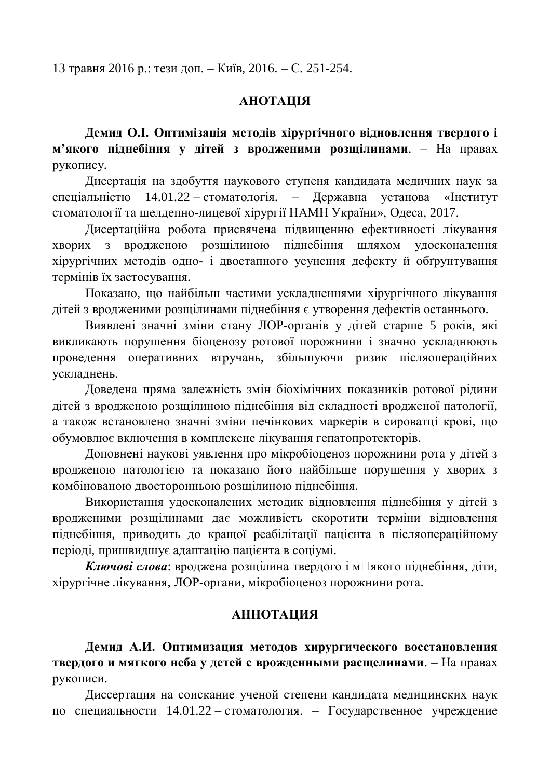13 травня 2016 р.: тези доп. – Київ, 2016. – С. 251-254.

#### **RIIIATOHA**

Демид О.І. Оптимізація методів хірургічного відновлення твердого і **м'якого піднебіння у дітей з вродженими розщілинами**. – На правах рукопису.

Дисертація на здобуття наукового ступеня кандидата медичних наук за спеціальністю  $14.01.22 -$ стоматологія. – Державна установа «Інститут стоматології та щелдепно-лицевої хірургії НАМН України», Одеса, 2017.

Дисертаційна робота присвячена підвищенню ефективності лікування хворих з вродженою розщілиною піднебіння шляхом удосконалення хірургічних методів одно- і двоетапного усунення дефекту й обґрунтування термінів їх застосування.

Показано, що найбільш частими ускладненнями хірургічного лікування дітейз вродженими розщілинами піднебіння є утворення дефектів останнього.

Виявлені значні зміни стану ЛОР-органів у дітей старше 5 років, які викликають порушення біоценозу ротової порожнини і значно ускладнюють проведення оперативних втручань, збільшуючи ризик післяопераційних ускладнень.

Доведена пряма залежність змін біохімічних показників ротової рідини дітей з вродженою розщілиною піднебіння від складності вродженої патології, а також встановлено значні зміни печінкових маркерів в сироватці крові, що обумовлює включення в комплексне лікування гепатопротекторів.

Доповнені наукові уявлення про мікробіоценоз порожнини рота у дітей з вродженою патологією та показано його найбільше порушення у хворих з комбінованою двосторонньою розщілиною піднебіння.

Використання удосконалених методик відновлення піднебіння у дітей з вродженими розщілинами дає можливість скоротити терміни відновлення піднебіння, приводить до кращої реабілітації пацієнта в післяопераційному періоді, пришвидшує адаптацію пацієнта в соціумі.

**Ключові слова: вроджена розшілина твердого і м□якого пілнебіння, літи,** хірургічне лікування, ЛОР-органи, мікробіоценоз порожнини рота.

#### **МЛЛОННА**

Демид А.И. Оптимизация методов хирургического восстановления твердого и мягкого неба у детей с врожденными расщелинами. – На правах рукописи.

Диссертация на соискание ученой степени кандидата медицинских наук по специальности 14.01.22 – стоматология. – Государственное учреждение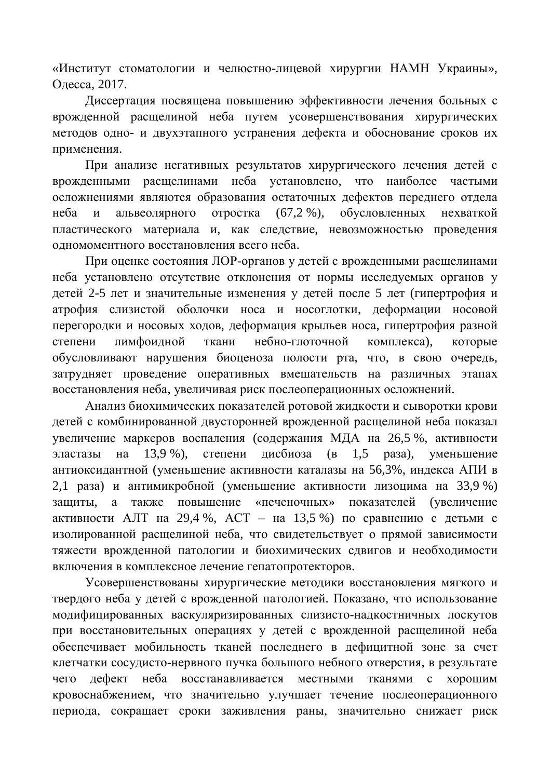«Институт стоматологии и челюстно-лицевой хирургии НАМН Украины», Одесса, 2017.

Диссертация посвящена повышению эффективности лечения больных с врожденной расщелиной неба путем усовершенствования хирургических методов одно- и двухэтапного устранения дефекта и обоснование сроков их применения.

При анализе негативных результатов хирургического лечения детей с врожденными расщелинами неба установлено, что наиболее частыми осложнениями являются образования остаточных дефектов переднего отдела неба и альвеолярного отростка (67,2 %), обусловленных нехваткой пластического материала и, как следствие, невозможностью проведения одномоментного восстановления всего неба.

При оценке состояния ЛОР-органов у детей с врожденными расщелинами неба установлено отсутствие отклонения от нормы исследуемых органов у детей 2-5 лет и значительные изменения у детей после 5 лет (гипертрофия и атрофия слизистой оболочки носа и носоглотки, деформации носовой перегородки и носовых ходов, деформация крыльев носа, гипертрофия разной степени лимфоидной ткани небно-глоточной комплекса), которые обусловливают нарушения биоценоза полости рта, что, в свою очередь, затрудняет проведение оперативных вмешательств на различных этапах восстановления неба, увеличивая риск послеоперационных осложнений.

Анализ биохимических показателей ротовой жидкости и сыворотки крови детей с комбинированной двусторонней врожденной расщелиной неба показал увеличение маркеров воспаления (содержания МДА на 26,5 %, активности эластазы на 13,9 %), степени дисбиоза (в 1,5 раза), уменьшение антиоксидантной (уменьшение активности каталазы на 56,3%, индекса АПИ в 2,1 раза) и антимикробной (уменьшение активности лизоцима на 33,9 %) защиты, а также повышение «печеночных» показателей (увеличение активности АЛТ на 29,4 %, АСТ – на 13,5 %) по сравнению с детьми с изолированной расщелиной неба, что свидетельствует о прямой зависимости тяжести врожденной патологии и биохимических сдвигов и необходимости включения в комплексное лечение гепатопротекторов.

Усовершенствованы хирургические методики восстановления мягкого и твердого неба у детей с врожденной патологией. Показано, что использование модифицированных васкуляризированных слизисто-надкостничных лоскутов при восстановительных операциях у детей с врожденной расщелиной неба обеспечивает мобильность тканей последнего в дефицитной зоне за счет клетчатки сосудисто-нервного пучка большого небного отверстия, в результате чего дефект неба восстанавливается местными тканями с хорошим кровоснабжением, что значительно улучшает течение послеоперационного периода, сокращает сроки заживления раны, значительно снижает риск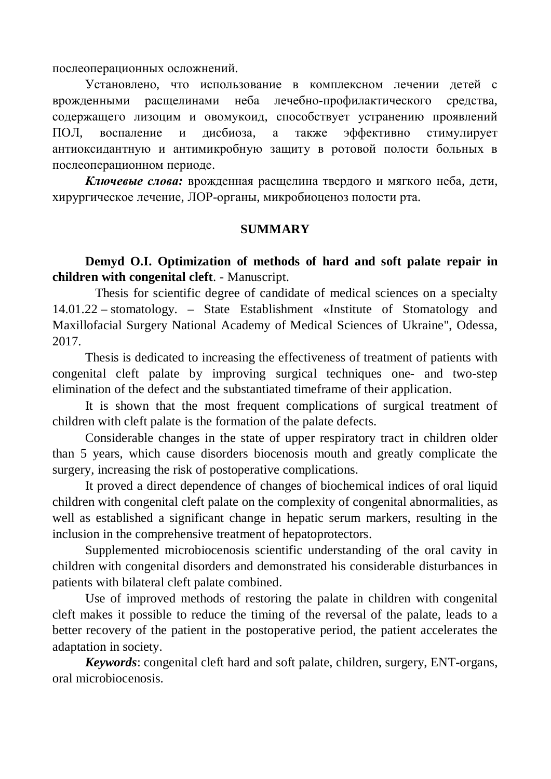послеоперационных осложнений.

Установлено, что использование в комплексном лечении детей с врожденными расщелинами неба лечебно-профилактического средства, содержащего лизоцим и овомукоид, способствует устранению проявлений ПОЛ, воспаление и дисбиоза, а также эффективно стимулирует антиоксидантную и антимикробную защиту в ротовой полости больных в послеоперационном периоде.

Ключевые слова: врожденная расщелина твердого и мягкого неба, дети, хирургическое лечение. ЛОР-органы, микробиоценоз полости рта.

#### **SUMMARY**

**Demyd O.I. Optimization of methods of hard and soft palate repair in children with congenital cleft**. - Manuscript.

 Thesis for scientific degree of candidate of medical sciences on a specialty 14.01.22 – stomatology. – State Establishment «Institute of Stomatology and Maxillofacial Surgery National Academy of Medical Sciences of Ukraine", Odessa, 2017.

Thesis is dedicated to increasing the effectiveness of treatment of patients with congenital cleft palate by improving surgical techniques one- and two-step elimination of the defect and the substantiated timeframe of their application.

It is shown that the most frequent complications of surgical treatment of children with cleft palate is the formation of the palate defects.

Considerable changes in the state of upper respiratory tract in children older than 5 years, which cause disorders biocenosis mouth and greatly complicate the surgery, increasing the risk of postoperative complications.

It proved a direct dependence of changes of biochemical indices of oral liquid children with congenital cleft palate on the complexity of congenital abnormalities, as well as established a significant change in hepatic serum markers, resulting in the inclusion in the comprehensive treatment of hepatoprotectors.

Supplemented microbiocenosis scientific understanding of the oral cavity in children with congenital disorders and demonstrated his considerable disturbances in patients with bilateral cleft palate combined.

Use of improved methods of restoring the palate in children with congenital cleft makes it possible to reduce the timing of the reversal of the palate, leads to a better recovery of the patient in the postoperative period, the patient accelerates the adaptation in society.

*Keywords*: congenital cleft hard and soft palate, children, surgery, ENT-organs, oral microbiocenosis.